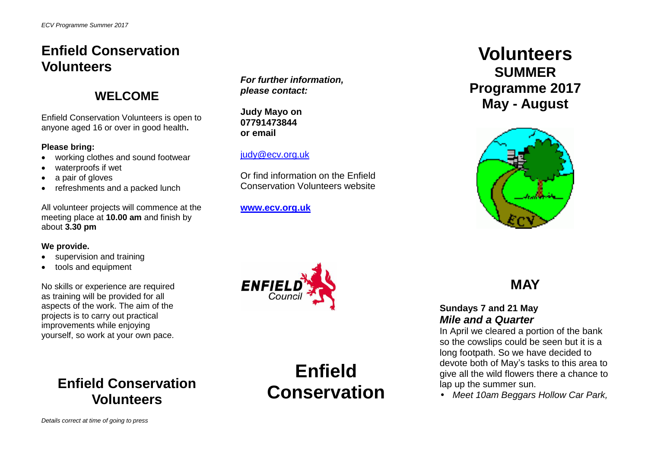### **Enfield Conservation Volunteers**

### **WELCOME**

Enfield Conservation Volunteers is open to anyone aged 16 or over in good health**.**

#### **Please bring:**

- working clothes and sound footwear
- waterproofs if wet
- a pair of gloves
- refreshments and a packed lunch

All volunteer projects will commence at the meeting place at **10.00 am** and finish by about **3.30 pm**

#### **We provide.**

- supervision and training
- tools and equipment

No skills or experience are required as training will be provided for all aspects of the work. The aim of the projects is to carry out practical improvements while enjoying yourself, so work at your own pace.

### **Enfield Conservation Volunteers**

*For further information, please contact:*

**Judy Mayo on 07791473844 or email**

#### [judy@ecv.org.uk](mailto:judy@ecv.org.uk)

Or find information on the Enfield Conservation Volunteers website

**[www.ecv.org.uk](http://www.ecv.org.uk/)**



**Enfield Conservation** 

# **Volunteers SUMMER Programme 2017 May - August**



## **MAY**

### **Sundays 7 and 21 May** *Mile and a Quarter*

In April we cleared a portion of the bank so the cowslips could be seen but it is a long footpath. So we have decided to devote both of May's tasks to this area to give all the wild flowers there a chance to lap up the summer sun.

*Meet 10am Beggars Hollow Car Park,*